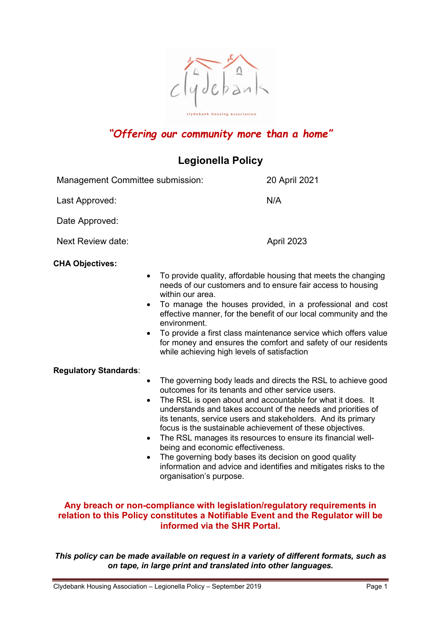

# "Offering our community more than a home"

# Legionella Policy

| Management Committee submission: |                                                                                 | 20 April 2021                                                                                                                                                                                                                                                                                                                                                                                        |
|----------------------------------|---------------------------------------------------------------------------------|------------------------------------------------------------------------------------------------------------------------------------------------------------------------------------------------------------------------------------------------------------------------------------------------------------------------------------------------------------------------------------------------------|
| Last Approved:                   |                                                                                 | N/A                                                                                                                                                                                                                                                                                                                                                                                                  |
| Date Approved:                   |                                                                                 |                                                                                                                                                                                                                                                                                                                                                                                                      |
| Next Review date:                |                                                                                 | April 2023                                                                                                                                                                                                                                                                                                                                                                                           |
| <b>CHA Objectives:</b>           | within our area.<br>environment.<br>while achieving high levels of satisfaction | To provide quality, affordable housing that meets the changing<br>needs of our customers and to ensure fair access to housing<br>• To manage the houses provided, in a professional and cost<br>effective manner, for the benefit of our local community and the<br>To provide a first class maintenance service which offers value<br>for money and ensures the comfort and safety of our residents |
| <b>Regulatory Standards:</b>     | ٠<br>outcomes for its tenants and other service users.<br>$\bullet$             | The governing body leads and directs the RSL to achieve good<br>The RSL is open about and accountable for what it does. It<br>understands and takes account of the needs and priorities of<br>its tenants, service users and stakeholders. And its primary<br>focus is the sustainable achievement of these objectives.                                                                              |

- The RSL manages its resources to ensure its financial wellbeing and economic effectiveness.
- The governing body bases its decision on good quality information and advice and identifies and mitigates risks to the organisation's purpose.

# Any breach or non-compliance with legislation/regulatory requirements in relation to this Policy constitutes a Notifiable Event and the Regulator will be informed via the SHR Portal.

This policy can be made available on request in a variety of different formats, such as on tape, in large print and translated into other languages.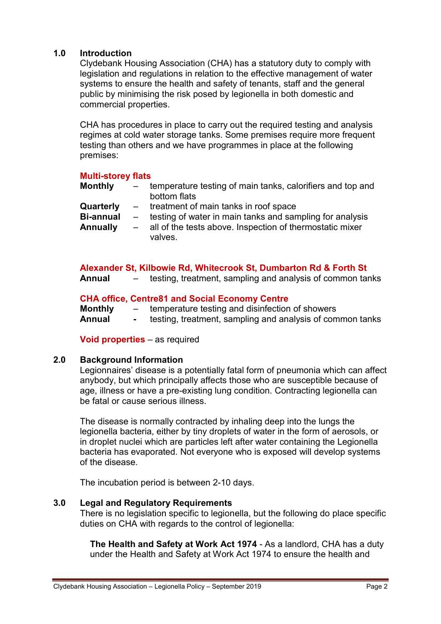## 1.0 Introduction

Clydebank Housing Association (CHA) has a statutory duty to comply with legislation and regulations in relation to the effective management of water systems to ensure the health and safety of tenants, staff and the general public by minimising the risk posed by legionella in both domestic and commercial properties.

CHA has procedures in place to carry out the required testing and analysis regimes at cold water storage tanks. Some premises require more frequent testing than others and we have programmes in place at the following premises:

#### Multi-storey flats

| <b>Monthly</b> | temperature testing of main tanks, calorifiers and top and |
|----------------|------------------------------------------------------------|
|                | bottom flats                                               |
|                |                                                            |

- Quarterly treatment of main tanks in roof space
- Bi-annual testing of water in main tanks and sampling for analysis
- Annually all of the tests above. Inspection of thermostatic mixer valves.

#### Alexander St, Kilbowie Rd, Whitecrook St, Dumbarton Rd & Forth St

Annual – testing, treatment, sampling and analysis of common tanks

#### CHA office, Centre81 and Social Economy Centre

Monthly – temperature testing and disinfection of showers Annual - testing, treatment, sampling and analysis of common tanks

Void properties – as required

#### 2.0 Background Information

Legionnaires' disease is a potentially fatal form of pneumonia which can affect anybody, but which principally affects those who are susceptible because of age, illness or have a pre-existing lung condition. Contracting legionella can be fatal or cause serious illness.

The disease is normally contracted by inhaling deep into the lungs the legionella bacteria, either by tiny droplets of water in the form of aerosols, or in droplet nuclei which are particles left after water containing the Legionella bacteria has evaporated. Not everyone who is exposed will develop systems of the disease.

The incubation period is between 2-10 days.

#### 3.0 Legal and Regulatory Requirements

There is no legislation specific to legionella, but the following do place specific duties on CHA with regards to the control of legionella:

The Health and Safety at Work Act 1974 - As a landlord, CHA has a duty under the Health and Safety at Work Act 1974 to ensure the health and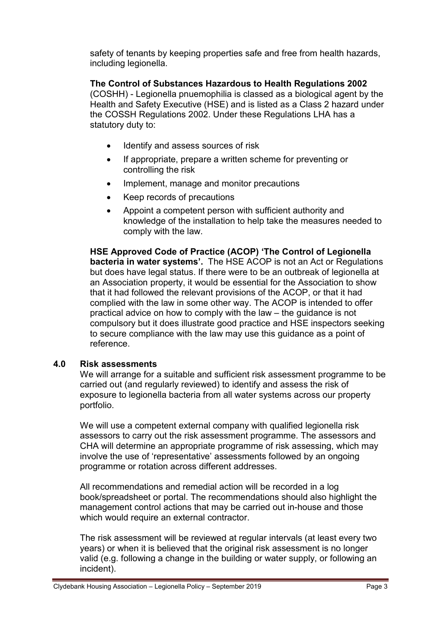safety of tenants by keeping properties safe and free from health hazards, including legionella.

The Control of Substances Hazardous to Health Regulations 2002 (COSHH) - Legionella pnuemophilia is classed as a biological agent by the Health and Safety Executive (HSE) and is listed as a Class 2 hazard under the COSSH Regulations 2002. Under these Regulations LHA has a statutory duty to:

- Identify and assess sources of risk
- If appropriate, prepare a written scheme for preventing or controlling the risk
- Implement, manage and monitor precautions
- Keep records of precautions
- Appoint a competent person with sufficient authority and knowledge of the installation to help take the measures needed to comply with the law.

HSE Approved Code of Practice (ACOP) 'The Control of Legionella bacteria in water systems'. The HSE ACOP is not an Act or Regulations but does have legal status. If there were to be an outbreak of legionella at an Association property, it would be essential for the Association to show that it had followed the relevant provisions of the ACOP, or that it had complied with the law in some other way. The ACOP is intended to offer practical advice on how to comply with the law – the guidance is not compulsory but it does illustrate good practice and HSE inspectors seeking to secure compliance with the law may use this guidance as a point of reference.

#### 4.0 Risk assessments

We will arrange for a suitable and sufficient risk assessment programme to be carried out (and regularly reviewed) to identify and assess the risk of exposure to legionella bacteria from all water systems across our property portfolio.

We will use a competent external company with qualified legionella risk assessors to carry out the risk assessment programme. The assessors and CHA will determine an appropriate programme of risk assessing, which may involve the use of 'representative' assessments followed by an ongoing programme or rotation across different addresses.

All recommendations and remedial action will be recorded in a log book/spreadsheet or portal. The recommendations should also highlight the management control actions that may be carried out in-house and those which would require an external contractor.

The risk assessment will be reviewed at regular intervals (at least every two years) or when it is believed that the original risk assessment is no longer valid (e.g. following a change in the building or water supply, or following an incident).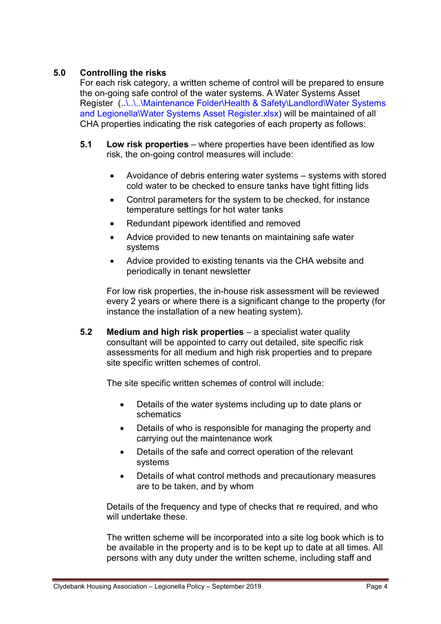# 5.0 Controlling the risks

For each risk category, a written scheme of control will be prepared to ensure the on-going safe control of the water systems. A Water Systems Asset Register (..\..\.\Maintenance Folder\Health & Safety\Landlord\Water Systems and Legionella\Water Systems Asset Register.xlsx) will be maintained of all CHA properties indicating the risk categories of each property as follows:

- 5.1 Low risk properties where properties have been identified as low risk, the on-going control measures will include:
	- Avoidance of debris entering water systems systems with stored cold water to be checked to ensure tanks have tight fitting lids
	- Control parameters for the system to be checked, for instance temperature settings for hot water tanks
	- Redundant pipework identified and removed
	- Advice provided to new tenants on maintaining safe water systems
	- Advice provided to existing tenants via the CHA website and periodically in tenant newsletter

For low risk properties, the in-house risk assessment will be reviewed every 2 years or where there is a significant change to the property (for instance the installation of a new heating system).

5.2 Medium and high risk properties – a specialist water quality consultant will be appointed to carry out detailed, site specific risk assessments for all medium and high risk properties and to prepare site specific written schemes of control.

The site specific written schemes of control will include:

- Details of the water systems including up to date plans or schematics
- Details of who is responsible for managing the property and carrying out the maintenance work
- Details of the safe and correct operation of the relevant systems
- Details of what control methods and precautionary measures are to be taken, and by whom

Details of the frequency and type of checks that re required, and who will undertake these.

The written scheme will be incorporated into a site log book which is to be available in the property and is to be kept up to date at all times. All persons with any duty under the written scheme, including staff and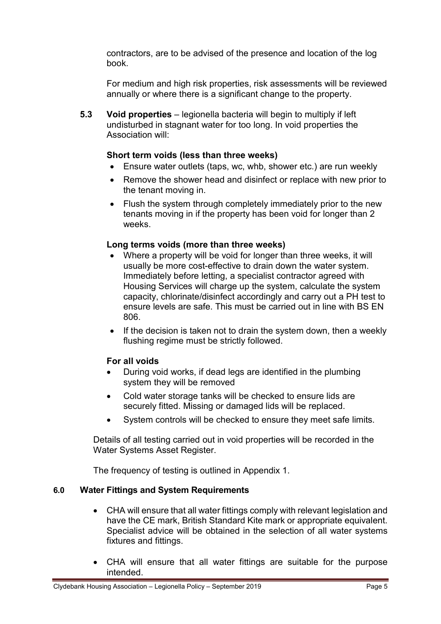contractors, are to be advised of the presence and location of the log book.

For medium and high risk properties, risk assessments will be reviewed annually or where there is a significant change to the property.

5.3 Void properties – legionella bacteria will begin to multiply if left undisturbed in stagnant water for too long. In void properties the Association will:

## Short term voids (less than three weeks)

- Ensure water outlets (taps, wc, whb, shower etc.) are run weekly
- Remove the shower head and disinfect or replace with new prior to the tenant moving in.
- Flush the system through completely immediately prior to the new tenants moving in if the property has been void for longer than 2 weeks.

## Long terms voids (more than three weeks)

- Where a property will be void for longer than three weeks, it will usually be more cost-effective to drain down the water system. Immediately before letting, a specialist contractor agreed with Housing Services will charge up the system, calculate the system capacity, chlorinate/disinfect accordingly and carry out a PH test to ensure levels are safe. This must be carried out in line with BS EN 806.
- $\bullet$  If the decision is taken not to drain the system down, then a weekly flushing regime must be strictly followed.

#### For all voids

- During void works, if dead legs are identified in the plumbing system they will be removed
- Cold water storage tanks will be checked to ensure lids are securely fitted. Missing or damaged lids will be replaced.
- System controls will be checked to ensure they meet safe limits.

Details of all testing carried out in void properties will be recorded in the Water Systems Asset Register.

The frequency of testing is outlined in Appendix 1.

#### 6.0 Water Fittings and System Requirements

- CHA will ensure that all water fittings comply with relevant legislation and have the CE mark, British Standard Kite mark or appropriate equivalent. Specialist advice will be obtained in the selection of all water systems fixtures and fittings.
- CHA will ensure that all water fittings are suitable for the purpose intended.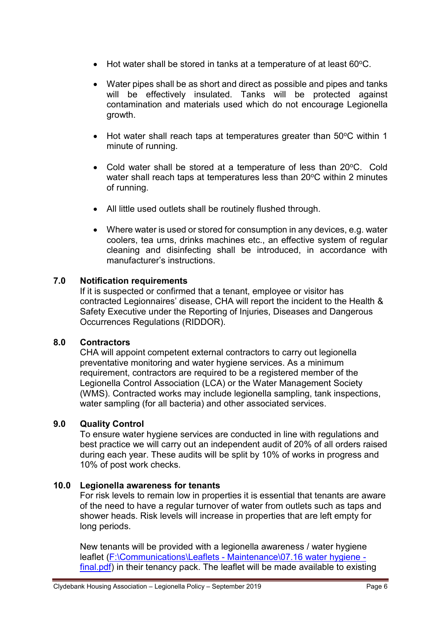- $\bullet$  Hot water shall be stored in tanks at a temperature of at least 60 $\degree$ C.
- Water pipes shall be as short and direct as possible and pipes and tanks will be effectively insulated. Tanks will be protected against contamination and materials used which do not encourage Legionella growth.
- $\bullet$  Hot water shall reach taps at temperatures greater than 50 $\degree$ C within 1 minute of running.
- Cold water shall be stored at a temperature of less than 20°C. Cold water shall reach taps at temperatures less than 20°C within 2 minutes of running.
- All little used outlets shall be routinely flushed through.
- Where water is used or stored for consumption in any devices, e.g. water coolers, tea urns, drinks machines etc., an effective system of regular cleaning and disinfecting shall be introduced, in accordance with manufacturer's instructions.

## 7.0 Notification requirements

If it is suspected or confirmed that a tenant, employee or visitor has contracted Legionnaires' disease, CHA will report the incident to the Health & Safety Executive under the Reporting of Injuries, Diseases and Dangerous Occurrences Regulations (RIDDOR).

# 8.0 Contractors

CHA will appoint competent external contractors to carry out legionella preventative monitoring and water hygiene services. As a minimum requirement, contractors are required to be a registered member of the Legionella Control Association (LCA) or the Water Management Society (WMS). Contracted works may include legionella sampling, tank inspections, water sampling (for all bacteria) and other associated services.

# 9.0 Quality Control

To ensure water hygiene services are conducted in line with regulations and best practice we will carry out an independent audit of 20% of all orders raised during each year. These audits will be split by 10% of works in progress and 10% of post work checks.

#### 10.0 Legionella awareness for tenants

For risk levels to remain low in properties it is essential that tenants are aware of the need to have a regular turnover of water from outlets such as taps and shower heads. Risk levels will increase in properties that are left empty for long periods.

New tenants will be provided with a legionella awareness / water hygiene leaflet (F:\Communications\Leaflets - Maintenance\07.16 water hygiene final.pdf) in their tenancy pack. The leaflet will be made available to existing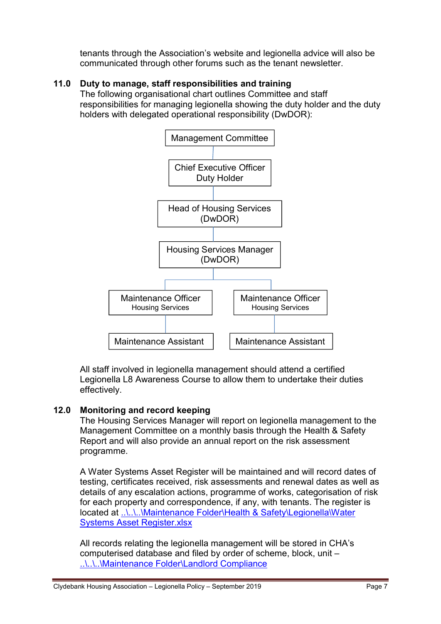tenants through the Association's website and legionella advice will also be communicated through other forums such as the tenant newsletter.

# 11.0 Duty to manage, staff responsibilities and training

The following organisational chart outlines Committee and staff responsibilities for managing legionella showing the duty holder and the duty holders with delegated operational responsibility (DwDOR):



All staff involved in legionella management should attend a certified Legionella L8 Awareness Course to allow them to undertake their duties effectively.

# 12.0 Monitoring and record keeping

The Housing Services Manager will report on legionella management to the Management Committee on a monthly basis through the Health & Safety Report and will also provide an annual report on the risk assessment programme.

A Water Systems Asset Register will be maintained and will record dates of testing, certificates received, risk assessments and renewal dates as well as details of any escalation actions, programme of works, categorisation of risk for each property and correspondence, if any, with tenants. The register is located at ..\..\..\Maintenance Folder\Health & Safety\Legionella\Water Systems Asset Register.xlsx

All records relating the legionella management will be stored in CHA's computerised database and filed by order of scheme, block, unit – ..\..\..\Maintenance Folder\Landlord Compliance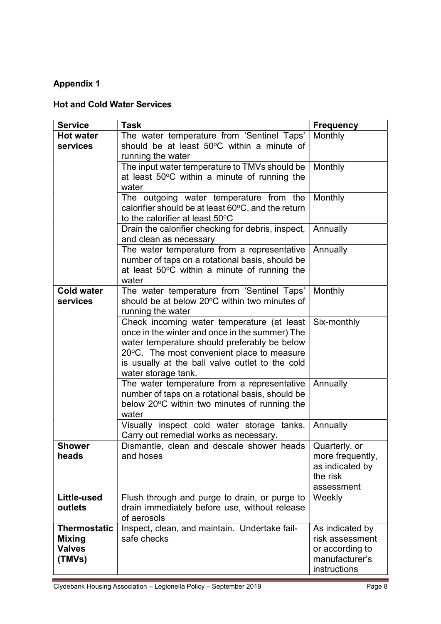# Appendix 1

# Hot and Cold Water Services

| <b>Service</b>      | <b>Task</b>                                                                                                                                             | <b>Frequency</b>               |
|---------------------|---------------------------------------------------------------------------------------------------------------------------------------------------------|--------------------------------|
| <b>Hot water</b>    | The water temperature from 'Sentinel Taps'                                                                                                              | Monthly                        |
| services            | should be at least 50°C within a minute of                                                                                                              |                                |
|                     | running the water<br>The input water temperature to TMVs should be                                                                                      | Monthly                        |
|                     | at least 50°C within a minute of running the                                                                                                            |                                |
|                     | water                                                                                                                                                   |                                |
|                     | The outgoing water temperature from the                                                                                                                 | Monthly                        |
|                     | calorifier should be at least 60°C, and the return<br>to the calorifier at least 50°C                                                                   |                                |
|                     | Drain the calorifier checking for debris, inspect,                                                                                                      | Annually                       |
|                     | and clean as necessary                                                                                                                                  |                                |
|                     | The water temperature from a representative<br>number of taps on a rotational basis, should be<br>at least 50°C within a minute of running the<br>water | Annually                       |
| <b>Cold water</b>   | The water temperature from 'Sentinel Taps'                                                                                                              | Monthly                        |
| services            | should be at below 20°C within two minutes of                                                                                                           |                                |
|                     | running the water                                                                                                                                       |                                |
|                     | Check incoming water temperature (at least                                                                                                              | Six-monthly                    |
|                     | once in the winter and once in the summer) The                                                                                                          |                                |
|                     | water temperature should preferably be below<br>20°C. The most convenient place to measure                                                              |                                |
|                     | is usually at the ball valve outlet to the cold                                                                                                         |                                |
|                     | water storage tank.                                                                                                                                     |                                |
|                     | The water temperature from a representative                                                                                                             | Annually                       |
|                     | number of taps on a rotational basis, should be                                                                                                         |                                |
|                     | below 20°C within two minutes of running the                                                                                                            |                                |
|                     | water<br>Visually inspect cold water storage tanks.                                                                                                     | Annually                       |
|                     | Carry out remedial works as necessary.                                                                                                                  |                                |
| <b>Shower</b>       | Dismantle, clean and descale shower heads   Quarterly, or                                                                                               |                                |
| heads               | and hoses                                                                                                                                               | more frequently,               |
|                     |                                                                                                                                                         | as indicated by                |
|                     |                                                                                                                                                         | the risk<br>assessment         |
| Little-used         | Flush through and purge to drain, or purge to                                                                                                           | Weekly                         |
| outlets             | drain immediately before use, without release                                                                                                           |                                |
|                     | of aerosols                                                                                                                                             |                                |
| <b>Thermostatic</b> | Inspect, clean, and maintain. Undertake fail-                                                                                                           | As indicated by                |
| <b>Mixing</b>       | safe checks                                                                                                                                             | risk assessment                |
| <b>Valves</b>       |                                                                                                                                                         | or according to                |
| (TMVs)              |                                                                                                                                                         | manufacturer's<br>instructions |
|                     |                                                                                                                                                         |                                |